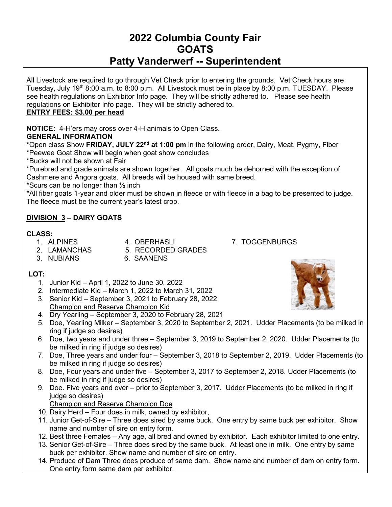# **2022 Columbia County Fair GOATS Patty Vanderwerf -- Superintendent**

All Livestock are required to go through Vet Check prior to entering the grounds. Vet Check hours are Tuesday, July 19<sup>th</sup> 8:00 a.m. to 8:00 p.m. All Livestock must be in place by 8:00 p.m. TUESDAY. Please see health regulations on Exhibitor Info page. They will be strictly adhered to. Please see health regulations on Exhibitor Info page. They will be strictly adhered to.

# **ENTRY FEES: \$3.00 per head**

**NOTICE:** 4-H'ers may cross over 4-H animals to Open Class.

# **GENERAL INFORMATION**

**\***Open class Show **FRIDAY, JULY 22nd at 1:00 pm** in the following order, Dairy, Meat, Pygmy, Fiber \*Peewee Goat Show will begin when goat show concludes

\*Bucks will not be shown at Fair

\*Purebred and grade animals are shown together. All goats much be dehorned with the exception of Cashmere and Angora goats. All breeds will be housed with same breed.

\*Scurs can be no longer than  $\frac{1}{2}$  inch

\*All fiber goats 1-year and older must be shown in fleece or with fleece in a bag to be presented to judge. The fleece must be the current year's latest crop.

# **DIVISION 3 – DAIRY GOATS**

- **CLASS:**
- 
- 1. ALPINES 4. OBERHASLI 7. TOGGENBURGS<br>2. LAMANCHAS 5. RECORDED GRADES 5. RECORDED GRADES
- 3. NUBIANS 6. SAANENS
- 

- **LOT:**
	- 1. Junior Kid April 1, 2022 to June 30, 2022
	- 2. Intermediate Kid March 1, 2022 to March 31, 2022
	- 3. Senior Kid September 3, 2021 to February 28, 2022 Champion and Reserve Champion Kid
	- 4. Dry Yearling September 3, 2020 to February 28, 2021
	- 5. Doe, Yearling Milker September 3, 2020 to September 2, 2021. Udder Placements (to be milked in ring if judge so desires)
	- 6. Doe, two years and under three September 3, 2019 to September 2, 2020. Udder Placements (to be milked in ring if judge so desires)
	- 7. Doe, Three years and under four September 3, 2018 to September 2, 2019. Udder Placements (to be milked in ring if judge so desires)
	- 8. Doe, Four years and under five September 3, 2017 to September 2, 2018. Udder Placements (to be milked in ring if judge so desires)
	- 9. Doe. Five years and over prior to September 3, 2017. Udder Placements (to be milked in ring if judge so desires)
		- Champion and Reserve Champion Doe
	- 10. Dairy Herd Four does in milk, owned by exhibitor,
	- 11. Junior Get-of-Sire Three does sired by same buck. One entry by same buck per exhibitor. Show name and number of sire on entry form.
	- 12. Best three Females Any age, all bred and owned by exhibitor. Each exhibitor limited to one entry.
	- 13. Senior Get-of-Sire Three does sired by the same buck. At least one in milk. One entry by same buck per exhibitor. Show name and number of sire on entry.
	- 14. Produce of Dam Three does produce of same dam. Show name and number of dam on entry form. One entry form same dam per exhibitor.

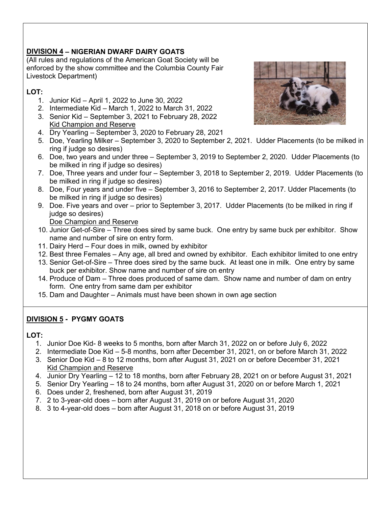# **DIVISION 4 – NIGERIAN DWARF DAIRY GOATS**

(All rules and regulations of the American Goat Society will be enforced by the show committee and the Columbia County Fair Livestock Department)

# **LOT:**

- 1. Junior Kid April 1, 2022 to June 30, 2022
- 2. Intermediate Kid March 1, 2022 to March 31, 2022
- 3. Senior Kid September 3, 2021 to February 28, 2022 Kid Champion and Reserve
- 4. Dry Yearling September 3, 2020 to February 28, 2021
- 5. Doe, Yearling Milker September 3, 2020 to September 2, 2021. Udder Placements (to be milked in ring if judge so desires)
- 6. Doe, two years and under three September 3, 2019 to September 2, 2020. Udder Placements (to be milked in ring if judge so desires)
- 7. Doe, Three years and under four September 3, 2018 to September 2, 2019. Udder Placements (to be milked in ring if judge so desires)
- 8. Doe, Four years and under five September 3, 2016 to September 2, 2017. Udder Placements (to be milked in ring if judge so desires)
- 9. Doe. Five years and over prior to September 3, 2017. Udder Placements (to be milked in ring if judge so desires)

Doe Champion and Reserve

- 10. Junior Get-of-Sire Three does sired by same buck. One entry by same buck per exhibitor. Show name and number of sire on entry form.
- 11. Dairy Herd Four does in milk, owned by exhibitor
- 12. Best three Females Any age, all bred and owned by exhibitor. Each exhibitor limited to one entry
- 13. Senior Get-of-Sire Three does sired by the same buck. At least one in milk. One entry by same buck per exhibitor. Show name and number of sire on entry
- 14. Produce of Dam Three does produced of same dam. Show name and number of dam on entry form. One entry from same dam per exhibitor
- 15. Dam and Daughter Animals must have been shown in own age section

# **DIVISION 5 - PYGMY GOATS**

#### **LOT:**

- 1. Junior Doe Kid- 8 weeks to 5 months, born after March 31, 2022 on or before July 6, 2022
- 2. Intermediate Doe Kid 5-8 months, born after December 31, 2021, on or before March 31, 2022
- 3. Senior Doe Kid 8 to 12 months, born after August 31, 2021 on or before December 31, 2021 Kid Champion and Reserve
- 4. Junior Dry Yearling 12 to 18 months, born after February 28, 2021 on or before August 31, 2021
- 5. Senior Dry Yearling 18 to 24 months, born after August 31, 2020 on or before March 1, 2021
- 6. Does under 2, freshened, born after August 31, 2019
- 7. 2 to 3-year-old does born after August 31, 2019 on or before August 31, 2020
- 8. 3 to 4-year-old does born after August 31, 2018 on or before August 31, 2019

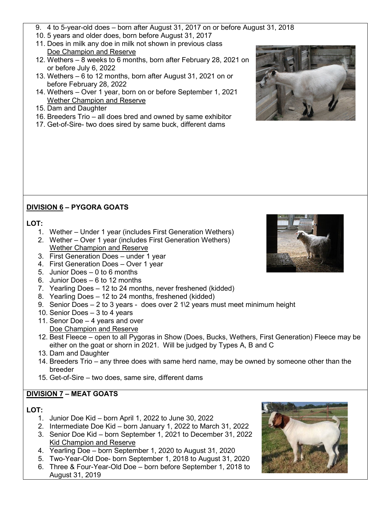- 9. 4 to 5-year-old does born after August 31, 2017 on or before August 31, 2018
- 10. 5 years and older does, born before August 31, 2017
- 11. Does in milk any doe in milk not shown in previous class Doe Champion and Reserve
- 12. Wethers 8 weeks to 6 months, born after February 28, 2021 on or before July 6, 2022
- 13. Wethers 6 to 12 months, born after August 31, 2021 on or before February 28, 2022
- 14. Wethers Over 1 year, born on or before September 1, 2021 Wether Champion and Reserve
- 15. Dam and Daughter
- 16. Breeders Trio all does bred and owned by same exhibitor
- 17. Get-of-Sire- two does sired by same buck, different dams

# **DIVISION 6 – PYGORA GOATS**

#### **LOT:**

- 1. Wether Under 1 year (includes First Generation Wethers)
- 2. Wether Over 1 year (includes First Generation Wethers) Wether Champion and Reserve
- 3. First Generation Does under 1 year
- 4. First Generation Does Over 1 year
- 5. Junior Does 0 to 6 months
- 6. Junior Does 6 to 12 months
- 7. Yearling Does 12 to 24 months, never freshened (kidded)
- 8. Yearling Does 12 to 24 months, freshened (kidded)
- 9. Senior Does 2 to 3 years does over 2 1\2 years must meet minimum height
- 10. Senior Does 3 to 4 years
- 11. Senor Doe 4 years and over Doe Champion and Reserve
- 12. Best Fleece open to all Pygoras in Show (Does, Bucks, Wethers, First Generation) Fleece may be either on the goat or shorn in 2021. Will be judged by Types A, B and C
- 13. Dam and Daughter
- 14. Breeders Trio any three does with same herd name, may be owned by someone other than the breeder
- 15. Get-of-Sire two does, same sire, different dams

# **DIVISION 7 – MEAT GOATS**

#### **LOT:**

- 1. Junior Doe Kid born April 1, 2022 to June 30, 2022
- 2. Intermediate Doe Kid born January 1, 2022 to March 31, 2022 3. Senior Doe Kid – born September 1, 2021 to December 31, 2022
- Kid Champion and Reserve
- 4. Yearling Doe born September 1, 2020 to August 31, 2020
- 5. Two-Year-Old Doe- born September 1, 2018 to August 31, 2020
- 6. Three & Four-Year-Old Doe born before September 1, 2018 to August 31, 2019